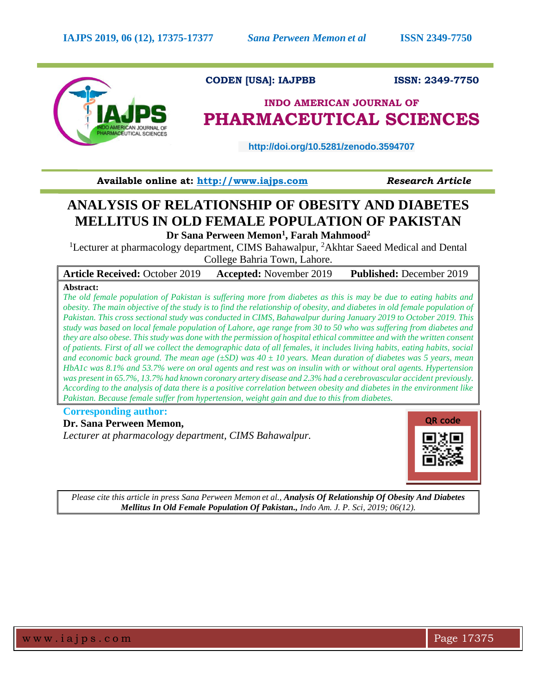

## **CODEN [USA]: IAJPBB ISSN: 2349-7750**

## **INDO AMERICAN JOURNAL OF PHARMACEUTICAL SCIENCES**

 **http://doi.org/10.5281/zenodo.3594707** 

**Available online at: [http://www.iajps.com](http://www.iajps.com/)** *Research Article*

# **ANALYSIS OF RELATIONSHIP OF OBESITY AND DIABETES MELLITUS IN OLD FEMALE POPULATION OF PAKISTAN**

**Dr Sana Perween Memon<sup>1</sup> , Farah Mahmood<sup>2</sup>** <sup>1</sup>Lecturer at pharmacology department, CIMS Bahawalpur, <sup>2</sup>Akhtar Saeed Medical and Dental

College Bahria Town, Lahore.

**Article Received:** October 2019 **Accepted:** November 2019 **Published:** December 2019 **Abstract:**

*The old female population of Pakistan is suffering more from diabetes as this is may be due to eating habits and obesity. The main objective of the study is to find the relationship of obesity, and diabetes in old female population of Pakistan. This cross sectional study was conducted in CIMS, Bahawalpur during January 2019 to October 2019. This study was based on local female population of Lahore, age range from 30 to 50 who was suffering from diabetes and they are also obese. This study was done with the permission of hospital ethical committee and with the written consent of patients. First of all we collect the demographic data of all females, it includes living habits, eating habits, social and economic back ground. The mean age (±SD) was 40 ± 10 years. Mean duration of diabetes was 5 years, mean HbA1c was 8.1% and 53.7% were on oral agents and rest was on insulin with or without oral agents. Hypertension was present in 65.7%, 13.7% had known coronary artery disease and 2.3% had a cerebrovascular accident previously. According to the analysis of data there is a positive correlation between obesity and diabetes in the environment like Pakistan. Because female suffer from hypertension, weight gain and due to this from diabetes.* 

### **Corresponding author:**

**Dr. Sana Perween Memon,** *Lecturer at pharmacology department, CIMS Bahawalpur.*



*Please cite this article in press Sana Perween Memon et al., Analysis Of Relationship Of Obesity And Diabetes Mellitus In Old Female Population Of Pakistan., Indo Am. J. P. Sci, 2019; 06(12).*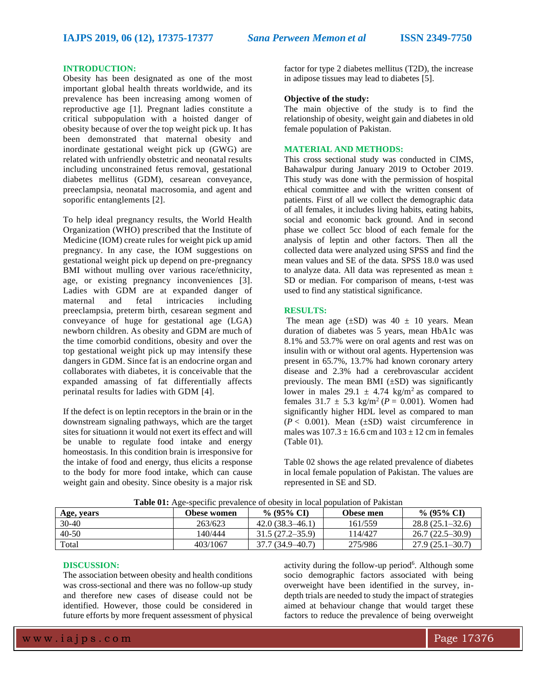#### **INTRODUCTION:**

Obesity has been designated as one of the most important global health threats worldwide, and its prevalence has been increasing among women of reproductive age [1]. Pregnant ladies constitute a critical subpopulation with a hoisted danger of obesity because of over the top weight pick up. It has been demonstrated that maternal obesity and inordinate gestational weight pick up (GWG) are related with unfriendly obstetric and neonatal results including unconstrained fetus removal, gestational diabetes mellitus (GDM), cesarean conveyance, preeclampsia, neonatal macrosomia, and agent and soporific entanglements [2].

To help ideal pregnancy results, the World Health Organization (WHO) prescribed that the Institute of Medicine (IOM) create rules for weight pick up amid pregnancy. In any case, the IOM suggestions on gestational weight pick up depend on pre-pregnancy BMI without mulling over various race/ethnicity, age, or existing pregnancy inconveniences [3]. Ladies with GDM are at expanded danger of maternal and fetal intricacies including preeclampsia, preterm birth, cesarean segment and conveyance of huge for gestational age (LGA) newborn children. As obesity and GDM are much of the time comorbid conditions, obesity and over the top gestational weight pick up may intensify these dangers in GDM. Since fat is an endocrine organ and collaborates with diabetes, it is conceivable that the expanded amassing of fat differentially affects perinatal results for ladies with GDM [4].

If the defect is on leptin receptors in the brain or in the downstream signaling pathways, which are the target sites for situationn it would not exert its effect and will be unable to regulate food intake and energy homeostasis. In this condition brain is irresponsive for the intake of food and energy, thus elicits a response to the body for more food intake, which can cause weight gain and obesity. Since obesity is a major risk factor for type 2 diabetes mellitus (T2D), the increase in adipose tissues may lead to diabetes [5].

#### **Objective of the study:**

The main objective of the study is to find the relationship of obesity, weight gain and diabetes in old female population of Pakistan.

#### **MATERIAL AND METHODS:**

This cross sectional study was conducted in CIMS, Bahawalpur during January 2019 to October 2019. This study was done with the permission of hospital ethical committee and with the written consent of patients. First of all we collect the demographic data of all females, it includes living habits, eating habits, social and economic back ground. And in second phase we collect 5cc blood of each female for the analysis of leptin and other factors. Then all the collected data were analyzed using SPSS and find the mean values and SE of the data. SPSS 18.0 was used to analyze data. All data was represented as mean  $\pm$ SD or median. For comparison of means, t-test was used to find any statistical significance.

#### **RESULTS:**

The mean age  $(\pm SD)$  was  $40 \pm 10$  years. Mean duration of diabetes was 5 years, mean HbA1c was 8.1% and 53.7% were on oral agents and rest was on insulin with or without oral agents. Hypertension was present in 65.7%, 13.7% had known coronary artery disease and 2.3% had a cerebrovascular accident previously. The mean BMI  $(\pm SD)$  was significantly lower in males  $29.1 \pm 4.74$  kg/m<sup>2</sup> as compared to females  $31.7 \pm 5.3 \text{ kg/m}^2$  ( $P = 0.001$ ). Women had significantly higher HDL level as compared to man  $(P < 0.001)$ . Mean  $(\pm SD)$  waist circumference in males was  $107.3 \pm 16.6$  cm and  $103 \pm 12$  cm in females (Table 01).

Table 02 shows the age related prevalence of diabetes in local female population of Pakistan. The values are represented in SE and SD.

| <b>Table 01.</b> Age-specific prevaience of obesity in local population of Fakistan |             |                       |           |                     |
|-------------------------------------------------------------------------------------|-------------|-----------------------|-----------|---------------------|
| Age, years                                                                          | Obese women | % $(95\% \text{ CI})$ | Obese men | $\%$ (95% CI)       |
| 30-40                                                                               | 263/623     | $42.0(38.3 - 46.1)$   | 161/559   | $28.8(25.1 - 32.6)$ |
| 40-50                                                                               | 140/444     | $31.5(27.2 - 35.9)$   | 114/427   | $26.7(22.5-30.9)$   |
| Total                                                                               | 403/1067    | 37.7 (34.9–40.7)      | 275/986   | $27.9(25.1 - 30.7)$ |

**Table 01:** Age-specific prevalence of obesity in local population of Pakistan

#### **DISCUSSION:**

The association between obesity and health conditions was cross-sectional and there was no follow-up study and therefore new cases of disease could not be identified. However, those could be considered in future efforts by more frequent assessment of physical

activity during the follow-up period<sup>6</sup>. Although some socio demographic factors associated with being overweight have been identified in the survey, indepth trials are needed to study the impact of strategies aimed at behaviour change that would target these factors to reduce the prevalence of being overweight